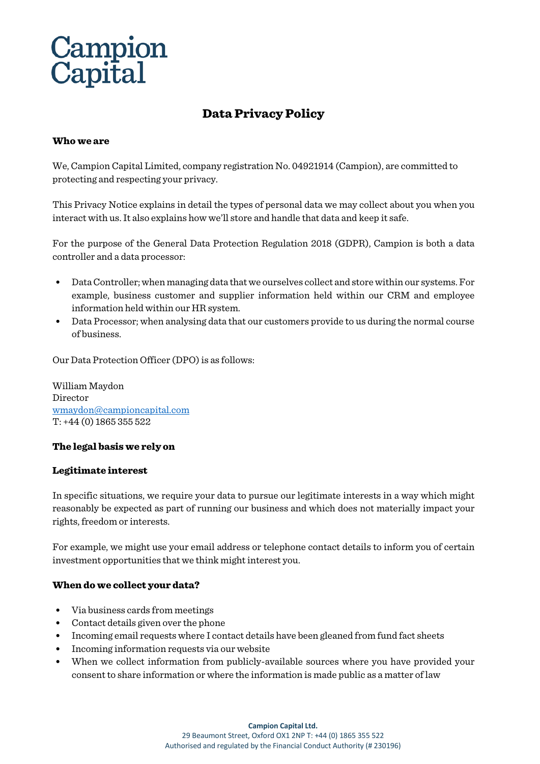# Data Privacy Policy

#### Who we are

We, Campion Capital Limited, company registration No. 04921914 (Campion), are committed to protecting and respecting your privacy.

This Privacy Notice explains in detail the types of personal data we may collect about you when you interact with us. It also explains how we'll store and handle that data and keep it safe.

For the purpose of the General Data Protection Regulation 2018 (GDPR), Campion is both a data controller and a data processor:

- Data Controller; when managing data that we ourselves collect and store within our systems. For example, business customer and supplier information held within our CRM and employee information held within our HR system.
- Data Processor; when analysing data that our customers provide to us during the normal course of business.

Our Data Protection Officer (DPO) is as follows:

William Maydon Director [wmaydon@campioncapital.com](mailto:wmaydon@campioncapital.com) T: +44 (0) 1865 355 522

#### The legal basis we rely on

#### Legitimate interest

In specific situations, we require your data to pursue our legitimate interests in a way which might reasonably be expected as part of running our business and which does not materially impact your rights, freedom or interests.

For example, we might use your email address or telephone contact details to inform you of certain investment opportunities that we think might interest you.

#### When do we collect your data?

- Via business cards from meetings
- Contact details given over the phone
- Incoming email requests where I contact details have been gleaned from fund fact sheets
- Incoming information requests via our website
- When we collect information from publicly-available sources where you have provided your consent to share information or where the information is made public as a matter of law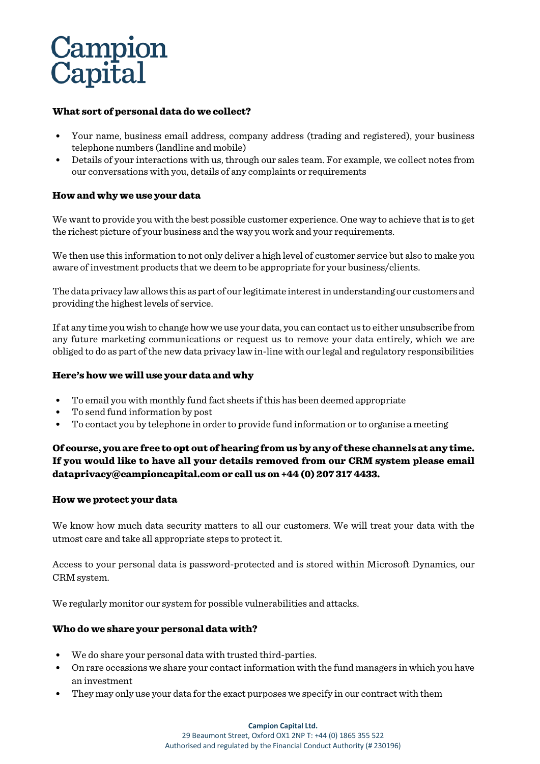#### What sort of personal data do we collect?

- Your name, business email address, company address (trading and registered), your business telephone numbers (landline and mobile)
- Details of your interactions with us, through our sales team. For example, we collect notes from our conversations with you, details of any complaints or requirements

### How and why we use your data

We want to provide you with the best possible customer experience. One way to achieve that is to get the richest picture of your business and the way you work and your requirements.

We then use this information to not only deliver a high level of customer service but also to make you aware of investment products that we deem to be appropriate for your business/clients.

The data privacy law allows this as part of our legitimate interest in understanding our customers and providing the highest levels of service.

If at any time you wish to change how we use your data, you can contact us to either unsubscribe from any future marketing communications or request us to remove your data entirely, which we are obliged to do as part of the new data privacy law in-line with our legal and regulatory responsibilities

#### Here's how we will use your data and why

- To email you with monthly fund fact sheets if this has been deemed appropriate
- To send fund information by post
- To contact you by telephone in order to provide fund information or to organise a meeting

# Of course, you are free to opt out of hearing from us by any of these channels at any time. If you would like to have all your details removed from our CRM system please email [dataprivacy@campioncapital.com](mailto:dataprivacy@campioncapital.com) or call us on +44 (0) 207 317 4433.

#### How we protect your data

We know how much data security matters to all our customers. We will treat your data with the utmost care and take all appropriate steps to protect it.

Access to your personal data is password-protected and is stored within Microsoft Dynamics, our CRM system.

We regularly monitor our system for possible vulnerabilities and attacks.

# Who do we share your personal data with?

- We do share your personal data with trusted third-parties.
- On rare occasions we share your contact information with the fund managers in which you have an investment
- They may only use your data for the exact purposes we specify in our contract with them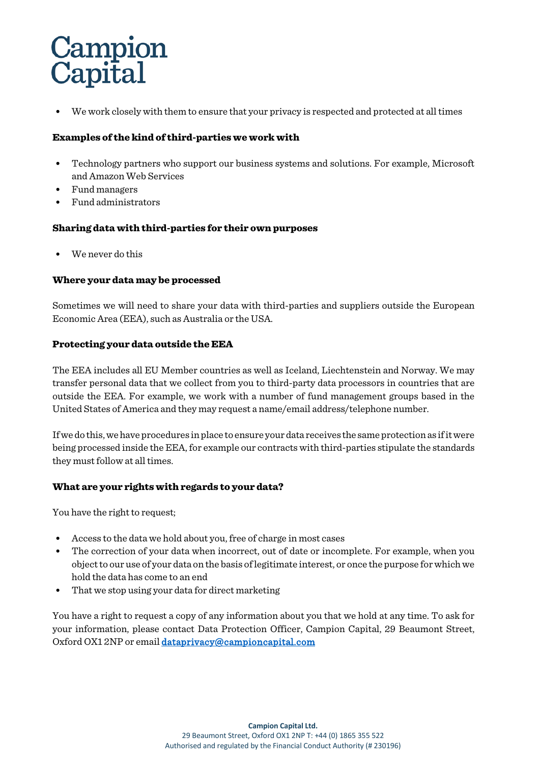• We work closely with them to ensure that your privacy is respected and protected at all times

### Examples of the kind of third-parties we work with

- Technology partners who support our business systems and solutions. For example, Microsoft and Amazon Web Services
- Fund managers
- Fund administrators

### Sharing data with third-parties for their own purposes

We never do this

#### Where your data may be processed

Sometimes we will need to share your data with third-parties and suppliers outside the European Economic Area (EEA), such as Australia or the USA.

#### Protecting your data outside the EEA

The EEA includes all EU Member countries as well as Iceland, Liechtenstein and Norway. We may transfer personal data that we collect from you to third-party data processors in countries that are outside the EEA. For example, we work with a number of fund management groups based in the United States of America and they may request a name/email address/telephone number.

If we do this, we have procedures in place to ensure your data receives the same protection as if it were being processed inside the EEA, for example our contracts with third-parties stipulate the standards they must follow at all times.

#### What are your rights with regards to your data?

You have the right to request;

- Access to the data we hold about you, free of charge in most cases
- The correction of your data when incorrect, out of date or incomplete. For example, when you object to our use of your data on the basis of legitimate interest, or once the purpose for which we hold the data has come to an end
- That we stop using your data for direct marketing

You have a right to request a copy of any information about you that we hold at any time. To ask for your information, please contact Data Protection Officer, Campion Capital, 29 Beaumont Street, Oxford OX1 2NP or emai[l dataprivacy@campioncapital.com](mailto:dataprivacy@campioncapital.com)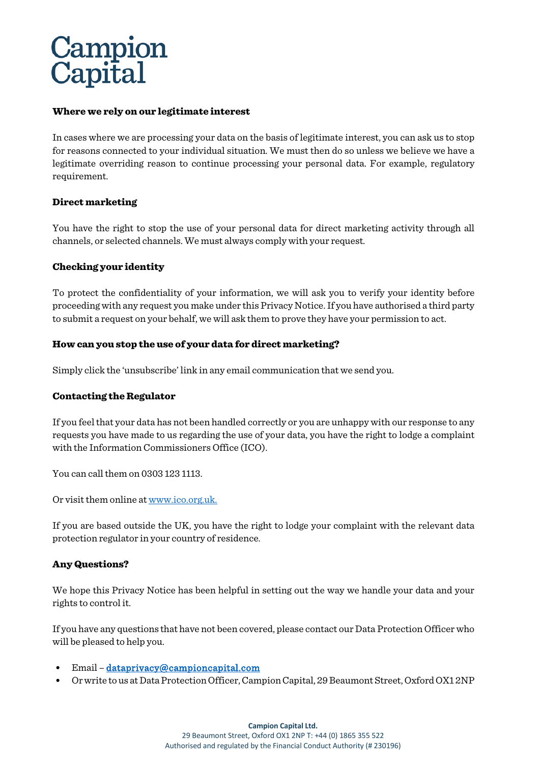#### Where we rely on our legitimate interest

In cases where we are processing your data on the basis of legitimate interest, you can ask us to stop for reasons connected to your individual situation. We must then do so unless we believe we have a legitimate overriding reason to continue processing your personal data. For example, regulatory requirement.

#### Direct marketing

You have the right to stop the use of your personal data for direct marketing activity through all channels, or selected channels. We must always comply with your request.

#### Checking your identity

To protect the confidentiality of your information, we will ask you to verify your identity before proceeding with any request you make under this Privacy Notice. If you have authorised a third party to submit a request on your behalf, we will ask them to prove they have your permission to act.

#### How can you stop the use of your data for direct marketing?

Simply click the 'unsubscribe' link in any email communication that we send you.

#### Contacting the Regulator

If you feel that your data has not been handled correctly or you are unhappy with our response to any requests you have made to us regarding the use of your data, you have the right to lodge a complaint with the Information Commissioners Office (ICO).

You can call them on 0303 123 1113.

Or visit them online a[t www.ico.org.uk.](http://www.ico.org.uk/)

If you are based outside the UK, you have the right to lodge your complaint with the relevant data protection regulator in your country of residence.

#### Any Questions?

We hope this Privacy Notice has been helpful in setting out the way we handle your data and your rights to control it.

If you have any questions that have not been covered, please contact our Data Protection Officer who will be pleased to help you.

- Email [dataprivacy@campioncapital.com](mailto:dataprivacy@campioncapital.com)
- Or write to us at Data Protection Officer, Campion Capital, 29 Beaumont Street, Oxford OX1 2NP